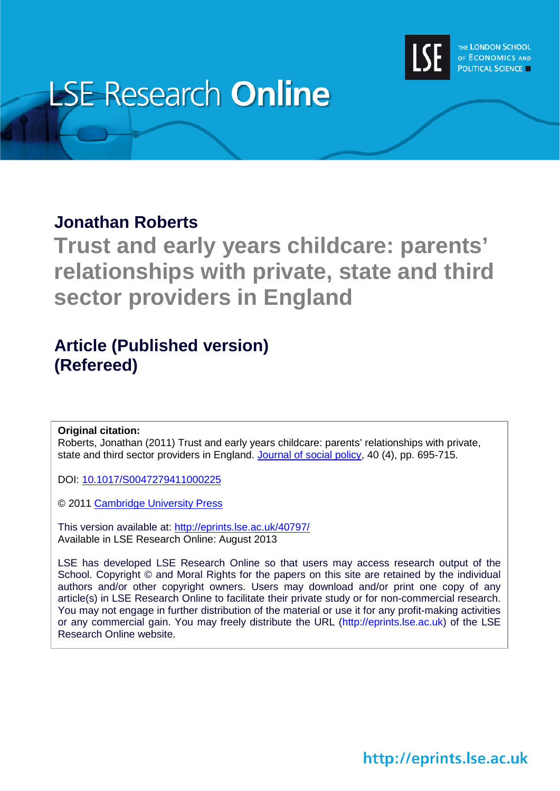

# **LSE Research Online**

# **Jonathan Roberts**

**Trust and early years childcare: parents' relationships with private, state and third sector providers in England**

# **Article (Published version) (Refereed)**

### **Original citation:**

Roberts, Jonathan (2011) Trust and early years childcare: parents' relationships with private, state and third sector providers in England. [Journal of social policy,](http://journals.cambridge.org/action/displayJournal?jid=JSP) 40 (4), pp. 695-715.

DOI: [10.1017/S0047279411000225](http://dx.doi.org/10.1017/S0047279411000225)

© 2011 [Cambridge University Press](http://www.cambridge.org/)

This version available at:<http://eprints.lse.ac.uk/40797/> Available in LSE Research Online: August 2013

LSE has developed LSE Research Online so that users may access research output of the School. Copyright © and Moral Rights for the papers on this site are retained by the individual authors and/or other copyright owners. Users may download and/or print one copy of any article(s) in LSE Research Online to facilitate their private study or for non-commercial research. You may not engage in further distribution of the material or use it for any profit-making activities or any commercial gain. You may freely distribute the URL (http://eprints.lse.ac.uk) of the LSE Research Online website.

http://eprints.lse.ac.uk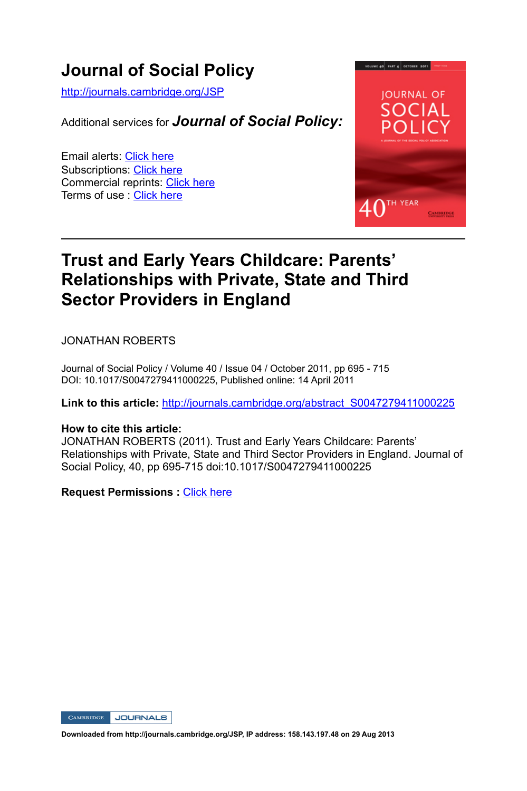## **Journal of Social Policy**

http://journals.cambridge.org/JSP

Additional services for *Journal of Social Policy:*

Email alerts: Click here Subscriptions: Click here Commercial reprints: Click here Terms of use : Click here



## **Trust and Early Years Childcare: Parents' Relationships with Private, State and Third Sector Providers in England**

JONATHAN ROBERTS

Journal of Social Policy / Volume 40 / Issue 04 / October 2011, pp 695 - 715 DOI: 10.1017/S0047279411000225, Published online: 14 April 2011

**Link to this article:** http://journals.cambridge.org/abstract\_S0047279411000225

#### **How to cite this article:**

JONATHAN ROBERTS (2011). Trust and Early Years Childcare: Parents' Relationships with Private, State and Third Sector Providers in England. Journal of Social Policy, 40, pp 695-715 doi:10.1017/S0047279411000225

**Request Permissions :** Click here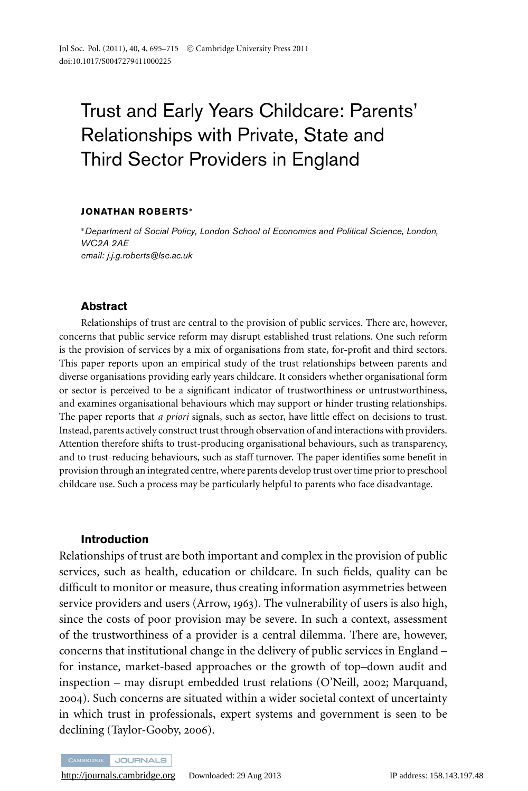# Trust and Early Years Childcare: Parents' Relationships with Private, State and Third Sector Providers in England

#### **JONATHAN ROBE RTS<sup>∗</sup>**

<sup>∗</sup>*Department of Social Policy, London School of Economics and Political Science, London, WC2A 2AE email: j.j.g.roberts@lse.ac.uk*

#### **Abstract**

Relationships of trust are central to the provision of public services. There are, however, concerns that public service reform may disrupt established trust relations. One such reform is the provision of services by a mix of organisations from state, for-profit and third sectors. This paper reports upon an empirical study of the trust relationships between parents and diverse organisations providing early years childcare. It considers whether organisational form or sector is perceived to be a significant indicator of trustworthiness or untrustworthiness, and examines organisational behaviours which may support or hinder trusting relationships. The paper reports that *a priori* signals, such as sector, have little effect on decisions to trust. Instead, parents actively construct trust through observation of and interactions with providers. Attention therefore shifts to trust-producing organisational behaviours, such as transparency, and to trust-reducing behaviours, such as staff turnover. The paper identifies some benefit in provision through an integrated centre, where parents develop trust over time prior to preschool childcare use. Such a process may be particularly helpful to parents who face disadvantage.

#### **Introduction**

Relationships of trust are both important and complex in the provision of public services, such as health, education or childcare. In such fields, quality can be difficult to monitor or measure, thus creating information asymmetries between service providers and users (Arrow, 1963). The vulnerability of users is also high, since the costs of poor provision may be severe. In such a context, assessment of the trustworthiness of a provider is a central dilemma. There are, however, concerns that institutional change in the delivery of public services in England – for instance, market-based approaches or the growth of top–down audit and inspection – may disrupt embedded trust relations (O'Neill, 2002; Marquand, 2004). Such concerns are situated within a wider societal context of uncertainty in which trust in professionals, expert systems and government is seen to be declining (Taylor-Gooby, 2006).

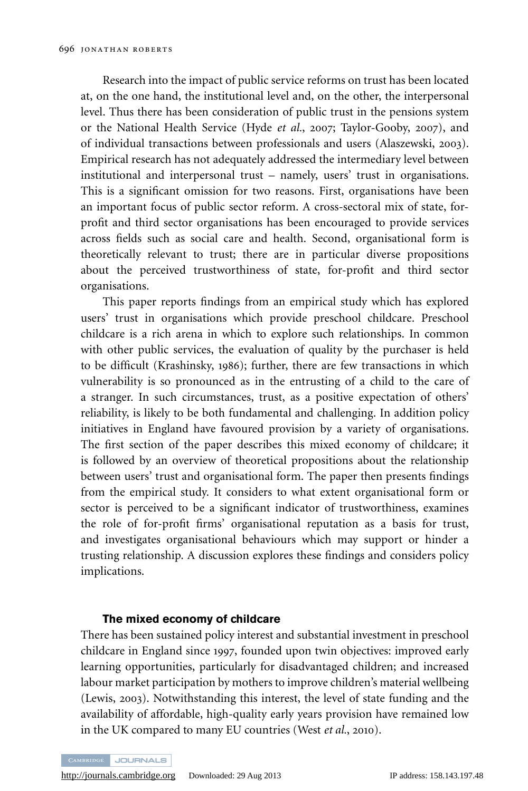Research into the impact of public service reforms on trust has been located at, on the one hand, the institutional level and, on the other, the interpersonal level. Thus there has been consideration of public trust in the pensions system or the National Health Service (Hyde *et al.*, 2007; Taylor-Gooby, 2007), and of individual transactions between professionals and users (Alaszewski, 2003). Empirical research has not adequately addressed the intermediary level between institutional and interpersonal trust – namely, users' trust in organisations. This is a significant omission for two reasons. First, organisations have been an important focus of public sector reform. A cross-sectoral mix of state, forprofit and third sector organisations has been encouraged to provide services across fields such as social care and health. Second, organisational form is theoretically relevant to trust; there are in particular diverse propositions about the perceived trustworthiness of state, for-profit and third sector organisations.

This paper reports findings from an empirical study which has explored users' trust in organisations which provide preschool childcare. Preschool childcare is a rich arena in which to explore such relationships. In common with other public services, the evaluation of quality by the purchaser is held to be difficult (Krashinsky, 1986); further, there are few transactions in which vulnerability is so pronounced as in the entrusting of a child to the care of a stranger. In such circumstances, trust, as a positive expectation of others' reliability, is likely to be both fundamental and challenging. In addition policy initiatives in England have favoured provision by a variety of organisations. The first section of the paper describes this mixed economy of childcare; it is followed by an overview of theoretical propositions about the relationship between users' trust and organisational form. The paper then presents findings from the empirical study. It considers to what extent organisational form or sector is perceived to be a significant indicator of trustworthiness, examines the role of for-profit firms' organisational reputation as a basis for trust, and investigates organisational behaviours which may support or hinder a trusting relationship. A discussion explores these findings and considers policy implications.

#### **The mixed economy of childcare**

There has been sustained policy interest and substantial investment in preschool childcare in England since 1997, founded upon twin objectives: improved early learning opportunities, particularly for disadvantaged children; and increased labour market participation by mothers to improve children's material wellbeing (Lewis, 2003). Notwithstanding this interest, the level of state funding and the availability of affordable, high-quality early years provision have remained low in the UK compared to many EU countries (West *et al.*, 2010).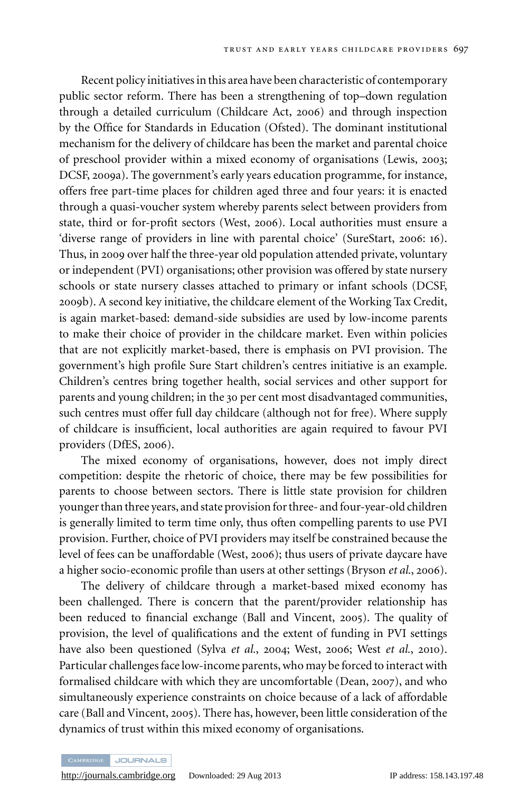Recent policy initiatives in this area have been characteristic of contemporary public sector reform. There has been a strengthening of top–down regulation through a detailed curriculum (Childcare Act, 2006) and through inspection by the Office for Standards in Education (Ofsted). The dominant institutional mechanism for the delivery of childcare has been the market and parental choice of preschool provider within a mixed economy of organisations (Lewis, 2003; DCSF, 2009a). The government's early years education programme, for instance, offers free part-time places for children aged three and four years: it is enacted through a quasi-voucher system whereby parents select between providers from state, third or for-profit sectors (West, 2006). Local authorities must ensure a 'diverse range of providers in line with parental choice' (SureStart, 2006: 16). Thus, in 2009 over half the three-year old population attended private, voluntary or independent (PVI) organisations; other provision was offered by state nursery schools or state nursery classes attached to primary or infant schools (DCSF, 2009b). A second key initiative, the childcare element of the Working Tax Credit, is again market-based: demand-side subsidies are used by low-income parents to make their choice of provider in the childcare market. Even within policies that are not explicitly market-based, there is emphasis on PVI provision. The government's high profile Sure Start children's centres initiative is an example. Children's centres bring together health, social services and other support for parents and young children; in the 30 per cent most disadvantaged communities, such centres must offer full day childcare (although not for free). Where supply of childcare is insufficient, local authorities are again required to favour PVI providers (DfES, 2006).

The mixed economy of organisations, however, does not imply direct competition: despite the rhetoric of choice, there may be few possibilities for parents to choose between sectors. There is little state provision for children younger than three years, and state provision for three- and four-year-old children is generally limited to term time only, thus often compelling parents to use PVI provision. Further, choice of PVI providers may itself be constrained because the level of fees can be unaffordable (West, 2006); thus users of private daycare have a higher socio-economic profile than users at other settings (Bryson *et al.*, 2006).

The delivery of childcare through a market-based mixed economy has been challenged. There is concern that the parent/provider relationship has been reduced to financial exchange (Ball and Vincent, 2005). The quality of provision, the level of qualifications and the extent of funding in PVI settings have also been questioned (Sylva *et al.*, 2004; West, 2006; West *et al.*, 2010). Particular challenges face low-income parents, who may be forced to interact with formalised childcare with which they are uncomfortable (Dean, 2007), and who simultaneously experience constraints on choice because of a lack of affordable care (Ball and Vincent, 2005). There has, however, been little consideration of the dynamics of trust within this mixed economy of organisations.

CAMBRIDGE JOURNALS

<http://journals.cambridge.org> Downloaded: 29 Aug 2013 IP address: 158.143.197.48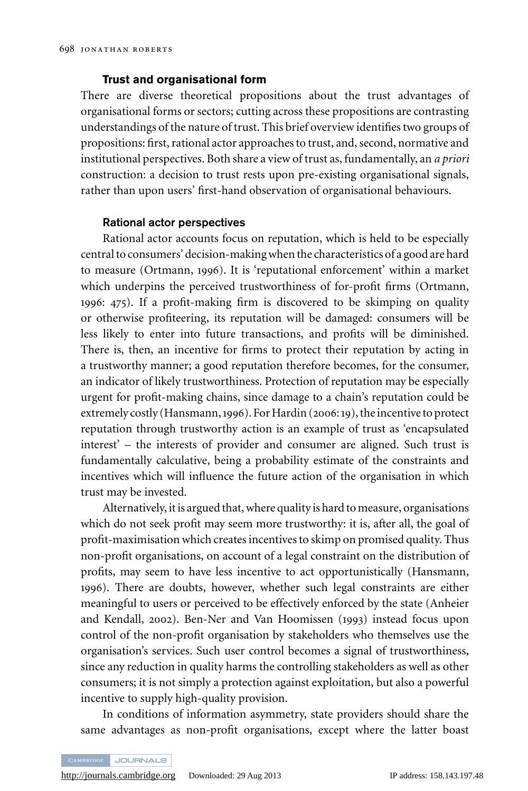#### **Trust and organisational form**

There are diverse theoretical propositions about the trust advantages of organisational forms or sectors; cutting across these propositions are contrasting understandings of the nature of trust. This brief overview identifies two groups of propositions: first, rational actor approaches to trust, and, second, normative and institutional perspectives. Both share a view of trust as, fundamentally, an *a priori* construction: a decision to trust rests upon pre-existing organisational signals, rather than upon users' first-hand observation of organisational behaviours.

#### **Rational actor perspectives**

Rational actor accounts focus on reputation, which is held to be especially central to consumers' decision-making when the characteristics of a good are hard to measure (Ortmann, 1996). It is 'reputational enforcement' within a market which underpins the perceived trustworthiness of for-profit firms (Ortmann, 1996: 475). If a profit-making firm is discovered to be skimping on quality or otherwise profiteering, its reputation will be damaged: consumers will be less likely to enter into future transactions, and profits will be diminished. There is, then, an incentive for firms to protect their reputation by acting in a trustworthy manner; a good reputation therefore becomes, for the consumer, an indicator of likely trustworthiness. Protection of reputation may be especially urgent for profit-making chains, since damage to a chain's reputation could be extremely costly (Hansmann,1996). For Hardin (2006:19), the incentive to protect reputation through trustworthy action is an example of trust as 'encapsulated interest' – the interests of provider and consumer are aligned. Such trust is fundamentally calculative, being a probability estimate of the constraints and incentives which will influence the future action of the organisation in which trust may be invested.

Alternatively, it is argued that, where quality is hard to measure, organisations which do not seek profit may seem more trustworthy: it is, after all, the goal of profit-maximisation which creates incentives to skimp on promised quality. Thus non-profit organisations, on account of a legal constraint on the distribution of profits, may seem to have less incentive to act opportunistically (Hansmann, 1996). There are doubts, however, whether such legal constraints are either meaningful to users or perceived to be effectively enforced by the state (Anheier and Kendall, 2002). Ben-Ner and Van Hoomissen (1993) instead focus upon control of the non-profit organisation by stakeholders who themselves use the organisation's services. Such user control becomes a signal of trustworthiness, since any reduction in quality harms the controlling stakeholders as well as other consumers; it is not simply a protection against exploitation, but also a powerful incentive to supply high-quality provision.

In conditions of information asymmetry, state providers should share the same advantages as non-profit organisations, except where the latter boast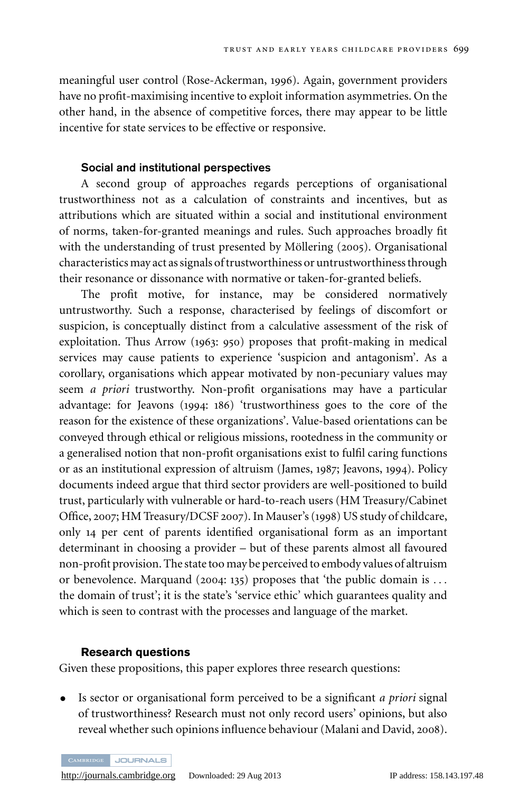meaningful user control (Rose-Ackerman, 1996). Again, government providers have no profit-maximising incentive to exploit information asymmetries. On the other hand, in the absence of competitive forces, there may appear to be little incentive for state services to be effective or responsive.

#### **Social and institutional perspectives**

A second group of approaches regards perceptions of organisational trustworthiness not as a calculation of constraints and incentives, but as attributions which are situated within a social and institutional environment of norms, taken-for-granted meanings and rules. Such approaches broadly fit with the understanding of trust presented by Möllering (2005). Organisational characteristics may act as signals of trustworthiness or untrustworthiness through their resonance or dissonance with normative or taken-for-granted beliefs.

The profit motive, for instance, may be considered normatively untrustworthy. Such a response, characterised by feelings of discomfort or suspicion, is conceptually distinct from a calculative assessment of the risk of exploitation. Thus Arrow (1963: 950) proposes that profit-making in medical services may cause patients to experience 'suspicion and antagonism'. As a corollary, organisations which appear motivated by non-pecuniary values may seem *a priori* trustworthy. Non-profit organisations may have a particular advantage: for Jeavons (1994: 186) 'trustworthiness goes to the core of the reason for the existence of these organizations'. Value-based orientations can be conveyed through ethical or religious missions, rootedness in the community or a generalised notion that non-profit organisations exist to fulfil caring functions or as an institutional expression of altruism (James, 1987; Jeavons, 1994). Policy documents indeed argue that third sector providers are well-positioned to build trust, particularly with vulnerable or hard-to-reach users (HM Treasury/Cabinet Office, 2007; HM Treasury/DCSF 2007). In Mauser's (1998) US study of childcare, only 14 per cent of parents identified organisational form as an important determinant in choosing a provider – but of these parents almost all favoured non-profit provision. The state too may be perceived to embody values of altruism or benevolence. Marquand (2004: 135) proposes that 'the public domain is *...* the domain of trust'; it is the state's 'service ethic' which guarantees quality and which is seen to contrast with the processes and language of the market.

#### **Research questions**

Given these propositions, this paper explores three research questions:

• Is sector or organisational form perceived to be a significant *a priori* signal of trustworthiness? Research must not only record users' opinions, but also reveal whether such opinions influence behaviour (Malani and David, 2008).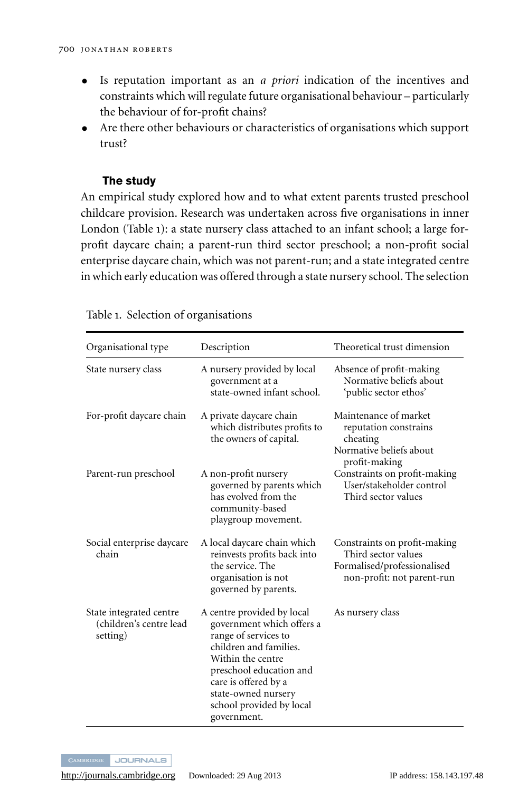- Is reputation important as an *a priori* indication of the incentives and constraints which will regulate future organisational behaviour – particularly the behaviour of for-profit chains?
- Are there other behaviours or characteristics of organisations which support trust?

#### **The study**

An empirical study explored how and to what extent parents trusted preschool childcare provision. Research was undertaken across five organisations in inner London (Table 1): a state nursery class attached to an infant school; a large forprofit daycare chain; a parent-run third sector preschool; a non-profit social enterprise daycare chain, which was not parent-run; and a state integrated centre in which early education was offered through a state nursery school. The selection

| Organisational type                                            | Description                                                                                                                                                                                                                                         | Theoretical trust dimension                                                                                      |
|----------------------------------------------------------------|-----------------------------------------------------------------------------------------------------------------------------------------------------------------------------------------------------------------------------------------------------|------------------------------------------------------------------------------------------------------------------|
| State nursery class                                            | A nursery provided by local<br>government at a<br>state-owned infant school.                                                                                                                                                                        | Absence of profit-making<br>Normative beliefs about<br>'public sector ethos'                                     |
| For-profit daycare chain                                       | A private daycare chain<br>which distributes profits to<br>the owners of capital.                                                                                                                                                                   | Maintenance of market<br>reputation constrains<br>cheating<br>Normative beliefs about<br>profit-making           |
| Parent-run preschool                                           | A non-profit nursery<br>governed by parents which<br>has evolved from the<br>community-based<br>playgroup movement.                                                                                                                                 | Constraints on profit-making<br>User/stakeholder control<br>Third sector values                                  |
| Social enterprise daycare<br>chain                             | A local daycare chain which<br>reinvests profits back into<br>the service. The<br>organisation is not<br>governed by parents.                                                                                                                       | Constraints on profit-making<br>Third sector values<br>Formalised/professionalised<br>non-profit: not parent-run |
| State integrated centre<br>(children's centre lead<br>setting) | A centre provided by local<br>government which offers a<br>range of services to<br>children and families.<br>Within the centre<br>preschool education and<br>care is offered by a<br>state-owned nursery<br>school provided by local<br>government. | As nursery class                                                                                                 |

#### Table 1. Selection of organisations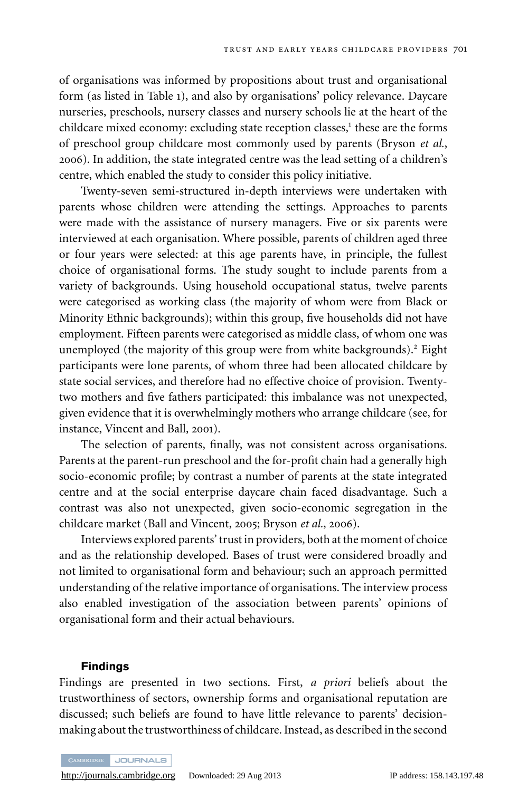of organisations was informed by propositions about trust and organisational form (as listed in Table 1), and also by organisations' policy relevance. Daycare nurseries, preschools, nursery classes and nursery schools lie at the heart of the childcare mixed economy: excluding state reception classes, $<sup>1</sup>$  these are the forms</sup> of preschool group childcare most commonly used by parents (Bryson *et al.*, 2006). In addition, the state integrated centre was the lead setting of a children's centre, which enabled the study to consider this policy initiative.

Twenty-seven semi-structured in-depth interviews were undertaken with parents whose children were attending the settings. Approaches to parents were made with the assistance of nursery managers. Five or six parents were interviewed at each organisation. Where possible, parents of children aged three or four years were selected: at this age parents have, in principle, the fullest choice of organisational forms. The study sought to include parents from a variety of backgrounds. Using household occupational status, twelve parents were categorised as working class (the majority of whom were from Black or Minority Ethnic backgrounds); within this group, five households did not have employment. Fifteen parents were categorised as middle class, of whom one was unemployed (the majority of this group were from white backgrounds).<sup>2</sup> Eight participants were lone parents, of whom three had been allocated childcare by state social services, and therefore had no effective choice of provision. Twentytwo mothers and five fathers participated: this imbalance was not unexpected, given evidence that it is overwhelmingly mothers who arrange childcare (see, for instance, Vincent and Ball, 2001).

The selection of parents, finally, was not consistent across organisations. Parents at the parent-run preschool and the for-profit chain had a generally high socio-economic profile; by contrast a number of parents at the state integrated centre and at the social enterprise daycare chain faced disadvantage. Such a contrast was also not unexpected, given socio-economic segregation in the childcare market (Ball and Vincent, 2005; Bryson *et al.*, 2006).

Interviews explored parents' trust in providers, both at the moment of choice and as the relationship developed. Bases of trust were considered broadly and not limited to organisational form and behaviour; such an approach permitted understanding of the relative importance of organisations. The interview process also enabled investigation of the association between parents' opinions of organisational form and their actual behaviours.

#### **Findings**

Findings are presented in two sections. First, *a priori* beliefs about the trustworthiness of sectors, ownership forms and organisational reputation are discussed; such beliefs are found to have little relevance to parents' decisionmaking about the trustworthiness of childcare. Instead, as described in the second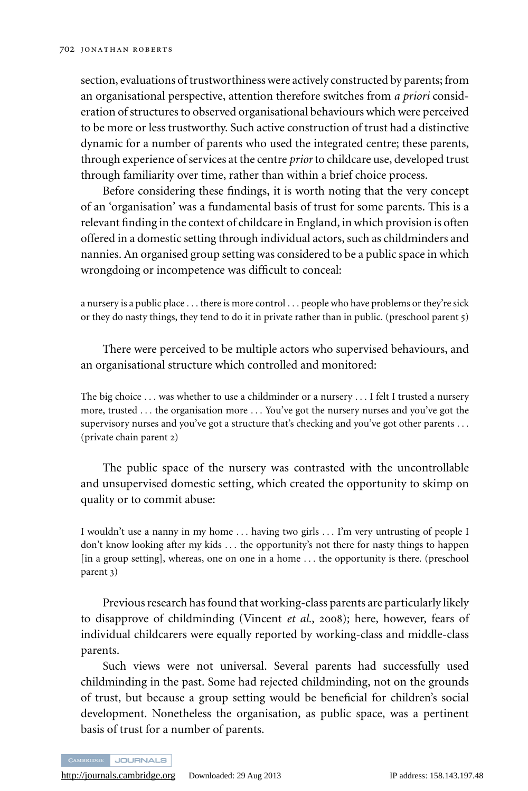section, evaluations of trustworthiness were actively constructed by parents; from an organisational perspective, attention therefore switches from *a priori* consideration of structures to observed organisational behaviours which were perceived to be more or less trustworthy. Such active construction of trust had a distinctive dynamic for a number of parents who used the integrated centre; these parents, through experience of services at the centre *prior*to childcare use, developed trust through familiarity over time, rather than within a brief choice process.

Before considering these findings, it is worth noting that the very concept of an 'organisation' was a fundamental basis of trust for some parents. This is a relevant finding in the context of childcare in England, in which provision is often offered in a domestic setting through individual actors, such as childminders and nannies. An organised group setting was considered to be a public space in which wrongdoing or incompetence was difficult to conceal:

a nursery is a public place *...* there is more control *...* people who have problems or they're sick or they do nasty things, they tend to do it in private rather than in public. (preschool parent 5)

There were perceived to be multiple actors who supervised behaviours, and an organisational structure which controlled and monitored:

The big choice *...* was whether to use a childminder or a nursery *...* I felt I trusted a nursery more, trusted *...* the organisation more *...* You've got the nursery nurses and you've got the supervisory nurses and you've got a structure that's checking and you've got other parents *...* (private chain parent 2)

The public space of the nursery was contrasted with the uncontrollable and unsupervised domestic setting, which created the opportunity to skimp on quality or to commit abuse:

I wouldn't use a nanny in my home *...* having two girls *...* I'm very untrusting of people I don't know looking after my kids *...* the opportunity's not there for nasty things to happen [in a group setting], whereas, one on one in a home *...* the opportunity is there. (preschool parent 3)

Previous research has found that working-class parents are particularly likely to disapprove of childminding (Vincent *et al.*, 2008); here, however, fears of individual childcarers were equally reported by working-class and middle-class parents.

Such views were not universal. Several parents had successfully used childminding in the past. Some had rejected childminding, not on the grounds of trust, but because a group setting would be beneficial for children's social development. Nonetheless the organisation, as public space, was a pertinent basis of trust for a number of parents.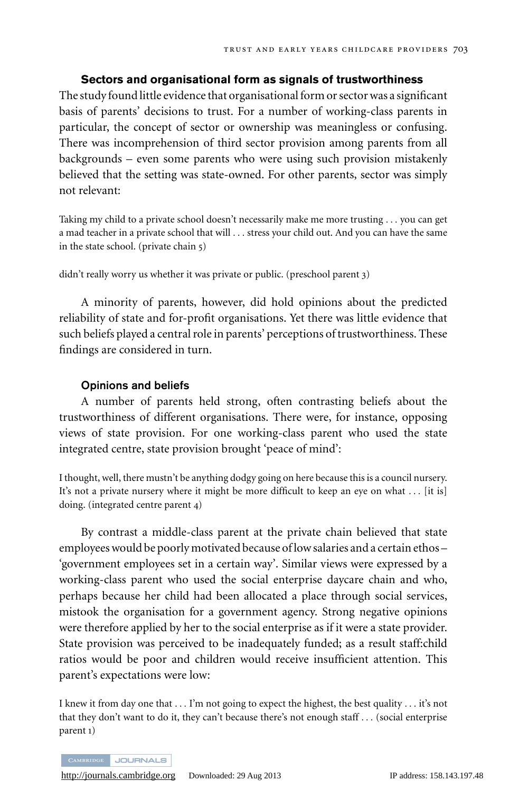#### **Sectors and organisational form as signals of trustworthiness**

The study found little evidence that organisational form or sector was a significant basis of parents' decisions to trust. For a number of working-class parents in particular, the concept of sector or ownership was meaningless or confusing. There was incomprehension of third sector provision among parents from all backgrounds – even some parents who were using such provision mistakenly believed that the setting was state-owned. For other parents, sector was simply not relevant:

Taking my child to a private school doesn't necessarily make me more trusting *...* you can get a mad teacher in a private school that will *...* stress your child out. And you can have the same in the state school. (private chain 5)

didn't really worry us whether it was private or public. (preschool parent 3)

A minority of parents, however, did hold opinions about the predicted reliability of state and for-profit organisations. Yet there was little evidence that such beliefs played a central role in parents' perceptions of trustworthiness. These findings are considered in turn.

#### **Opinions and beliefs**

A number of parents held strong, often contrasting beliefs about the trustworthiness of different organisations. There were, for instance, opposing views of state provision. For one working-class parent who used the state integrated centre, state provision brought 'peace of mind':

I thought, well, there mustn't be anything dodgy going on here because this is a council nursery. It's not a private nursery where it might be more difficult to keep an eye on what *...* [it is] doing. (integrated centre parent 4)

By contrast a middle-class parent at the private chain believed that state employees would be poorly motivated because of low salaries and a certain ethos – 'government employees set in a certain way'. Similar views were expressed by a working-class parent who used the social enterprise daycare chain and who, perhaps because her child had been allocated a place through social services, mistook the organisation for a government agency. Strong negative opinions were therefore applied by her to the social enterprise as if it were a state provider. State provision was perceived to be inadequately funded; as a result staff:child ratios would be poor and children would receive insufficient attention. This parent's expectations were low:

I knew it from day one that *...* I'm not going to expect the highest, the best quality *...* it's not that they don't want to do it, they can't because there's not enough staff *...* (social enterprise parent 1)

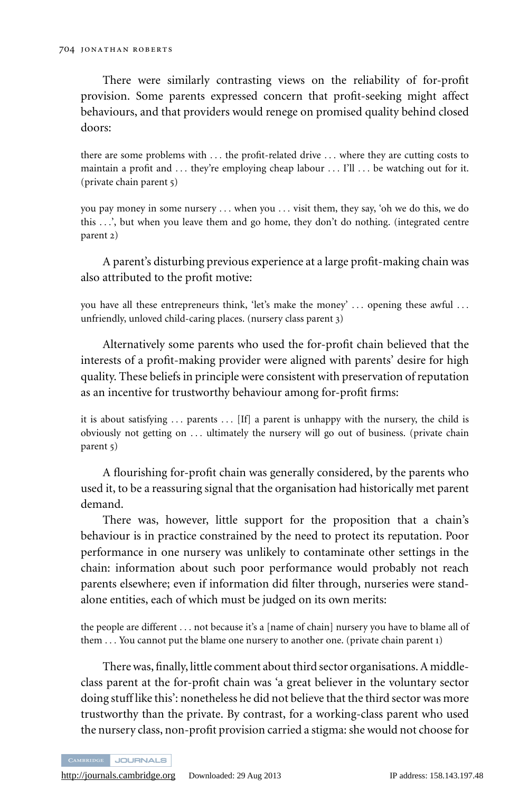There were similarly contrasting views on the reliability of for-profit provision. Some parents expressed concern that profit-seeking might affect behaviours, and that providers would renege on promised quality behind closed doors:

there are some problems with *...* the profit-related drive *...* where they are cutting costs to maintain a profit and *...* they're employing cheap labour *...* I'll *...* be watching out for it. (private chain parent 5)

you pay money in some nursery *...* when you *...* visit them, they say, 'oh we do this, we do this *...*', but when you leave them and go home, they don't do nothing. (integrated centre parent 2)

A parent's disturbing previous experience at a large profit-making chain was also attributed to the profit motive:

you have all these entrepreneurs think, 'let's make the money' *...* opening these awful *...* unfriendly, unloved child-caring places. (nursery class parent 3)

Alternatively some parents who used the for-profit chain believed that the interests of a profit-making provider were aligned with parents' desire for high quality. These beliefs in principle were consistent with preservation of reputation as an incentive for trustworthy behaviour among for-profit firms:

it is about satisfying *...* parents *...* [If] a parent is unhappy with the nursery, the child is obviously not getting on *...* ultimately the nursery will go out of business. (private chain parent 5)

A flourishing for-profit chain was generally considered, by the parents who used it, to be a reassuring signal that the organisation had historically met parent demand.

There was, however, little support for the proposition that a chain's behaviour is in practice constrained by the need to protect its reputation. Poor performance in one nursery was unlikely to contaminate other settings in the chain: information about such poor performance would probably not reach parents elsewhere; even if information did filter through, nurseries were standalone entities, each of which must be judged on its own merits:

the people are different *...* not because it's a [name of chain] nursery you have to blame all of them *...* You cannot put the blame one nursery to another one. (private chain parent 1)

There was, finally, little comment about third sector organisations. A middleclass parent at the for-profit chain was 'a great believer in the voluntary sector doing stuff like this': nonetheless he did not believe that the third sector was more trustworthy than the private. By contrast, for a working-class parent who used the nursery class, non-profit provision carried a stigma: she would not choose for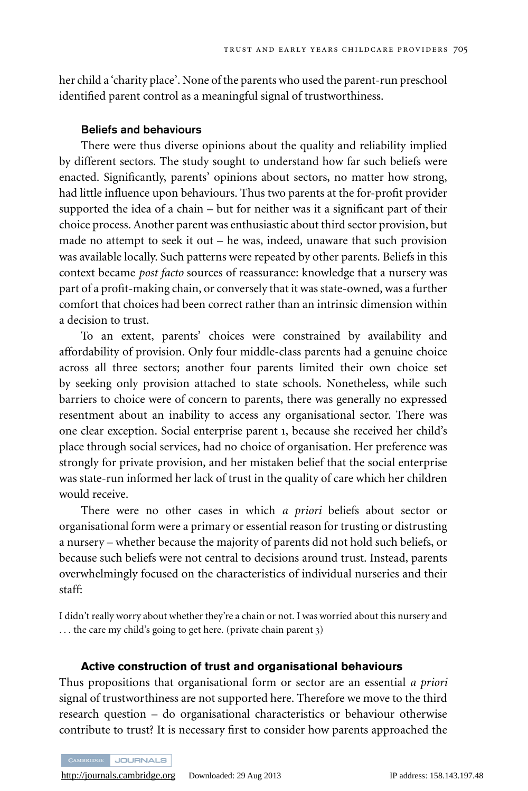her child a 'charity place'. None of the parents who used the parent-run preschool identified parent control as a meaningful signal of trustworthiness.

#### **Beliefs and behaviours**

There were thus diverse opinions about the quality and reliability implied by different sectors. The study sought to understand how far such beliefs were enacted. Significantly, parents' opinions about sectors, no matter how strong, had little influence upon behaviours. Thus two parents at the for-profit provider supported the idea of a chain – but for neither was it a significant part of their choice process. Another parent was enthusiastic about third sector provision, but made no attempt to seek it out – he was, indeed, unaware that such provision was available locally. Such patterns were repeated by other parents. Beliefs in this context became *post facto* sources of reassurance: knowledge that a nursery was part of a profit-making chain, or conversely that it was state-owned, was a further comfort that choices had been correct rather than an intrinsic dimension within a decision to trust.

To an extent, parents' choices were constrained by availability and affordability of provision. Only four middle-class parents had a genuine choice across all three sectors; another four parents limited their own choice set by seeking only provision attached to state schools. Nonetheless, while such barriers to choice were of concern to parents, there was generally no expressed resentment about an inability to access any organisational sector. There was one clear exception. Social enterprise parent 1, because she received her child's place through social services, had no choice of organisation. Her preference was strongly for private provision, and her mistaken belief that the social enterprise was state-run informed her lack of trust in the quality of care which her children would receive.

There were no other cases in which *a priori* beliefs about sector or organisational form were a primary or essential reason for trusting or distrusting a nursery – whether because the majority of parents did not hold such beliefs, or because such beliefs were not central to decisions around trust. Instead, parents overwhelmingly focused on the characteristics of individual nurseries and their staff:

I didn't really worry about whether they're a chain or not. I was worried about this nursery and *...* the care my child's going to get here. (private chain parent 3)

#### **Active construction of trust and organisational behaviours**

Thus propositions that organisational form or sector are an essential *a priori* signal of trustworthiness are not supported here. Therefore we move to the third research question – do organisational characteristics or behaviour otherwise contribute to trust? It is necessary first to consider how parents approached the

<http://journals.cambridge.org> Downloaded: 29 Aug 2013 IP address: 158.143.197.48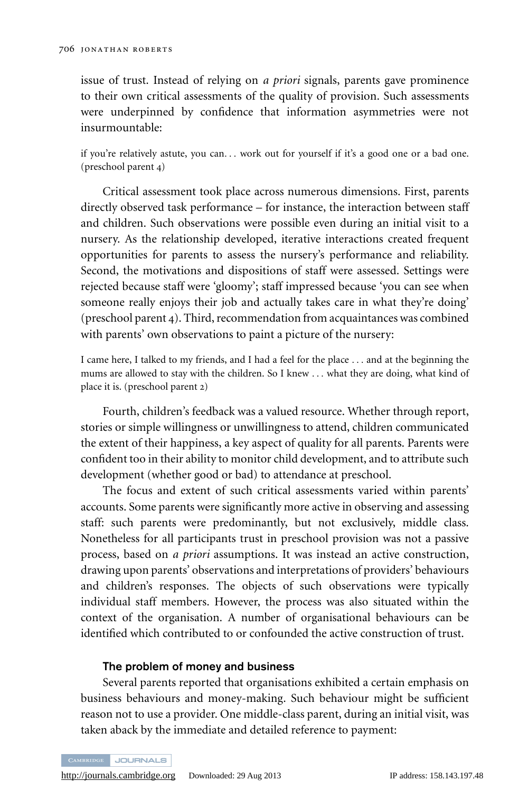issue of trust. Instead of relying on *a priori* signals, parents gave prominence to their own critical assessments of the quality of provision. Such assessments were underpinned by confidence that information asymmetries were not insurmountable:

if you're relatively astute, you can*...* work out for yourself if it's a good one or a bad one. (preschool parent 4)

Critical assessment took place across numerous dimensions. First, parents directly observed task performance – for instance, the interaction between staff and children. Such observations were possible even during an initial visit to a nursery. As the relationship developed, iterative interactions created frequent opportunities for parents to assess the nursery's performance and reliability. Second, the motivations and dispositions of staff were assessed. Settings were rejected because staff were 'gloomy'; staff impressed because 'you can see when someone really enjoys their job and actually takes care in what they're doing' (preschool parent 4). Third, recommendation from acquaintances was combined with parents' own observations to paint a picture of the nursery:

I came here, I talked to my friends, and I had a feel for the place *...* and at the beginning the mums are allowed to stay with the children. So I knew *...* what they are doing, what kind of place it is. (preschool parent 2)

Fourth, children's feedback was a valued resource. Whether through report, stories or simple willingness or unwillingness to attend, children communicated the extent of their happiness, a key aspect of quality for all parents. Parents were confident too in their ability to monitor child development, and to attribute such development (whether good or bad) to attendance at preschool.

The focus and extent of such critical assessments varied within parents' accounts. Some parents were significantly more active in observing and assessing staff: such parents were predominantly, but not exclusively, middle class. Nonetheless for all participants trust in preschool provision was not a passive process, based on *a priori* assumptions. It was instead an active construction, drawing upon parents' observations and interpretations of providers' behaviours and children's responses. The objects of such observations were typically individual staff members. However, the process was also situated within the context of the organisation. A number of organisational behaviours can be identified which contributed to or confounded the active construction of trust.

#### **The problem of money and business**

Several parents reported that organisations exhibited a certain emphasis on business behaviours and money-making. Such behaviour might be sufficient reason not to use a provider. One middle-class parent, during an initial visit, was taken aback by the immediate and detailed reference to payment: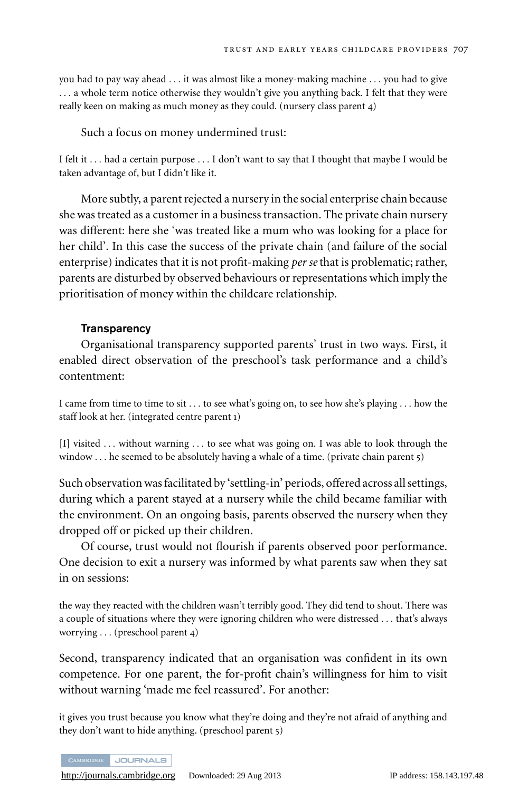you had to pay way ahead *...* it was almost like a money-making machine *...* you had to give *...* a whole term notice otherwise they wouldn't give you anything back. I felt that they were really keen on making as much money as they could. (nursery class parent 4)

Such a focus on money undermined trust:

I felt it *...* had a certain purpose *...* I don't want to say that I thought that maybe I would be taken advantage of, but I didn't like it.

More subtly, a parent rejected a nursery in the social enterprise chain because she was treated as a customer in a business transaction. The private chain nursery was different: here she 'was treated like a mum who was looking for a place for her child'. In this case the success of the private chain (and failure of the social enterprise) indicates that it is not profit-making *per se*that is problematic; rather, parents are disturbed by observed behaviours or representations which imply the prioritisation of money within the childcare relationship.

#### **Transparency**

Organisational transparency supported parents' trust in two ways. First, it enabled direct observation of the preschool's task performance and a child's contentment:

I came from time to time to sit *...* to see what's going on, to see how she's playing *...* how the staff look at her. (integrated centre parent 1)

[I] visited *...* without warning *...* to see what was going on. I was able to look through the window *...* he seemed to be absolutely having a whale of a time. (private chain parent 5)

Such observation was facilitated by 'settling-in' periods, offered across all settings, during which a parent stayed at a nursery while the child became familiar with the environment. On an ongoing basis, parents observed the nursery when they dropped off or picked up their children.

Of course, trust would not flourish if parents observed poor performance. One decision to exit a nursery was informed by what parents saw when they sat in on sessions:

the way they reacted with the children wasn't terribly good. They did tend to shout. There was a couple of situations where they were ignoring children who were distressed *...* that's always worrying *...* (preschool parent 4)

Second, transparency indicated that an organisation was confident in its own competence. For one parent, the for-profit chain's willingness for him to visit without warning 'made me feel reassured'. For another:

it gives you trust because you know what they're doing and they're not afraid of anything and they don't want to hide anything. (preschool parent 5)



<http://journals.cambridge.org> Downloaded: 29 Aug 2013 IP address: 158.143.197.48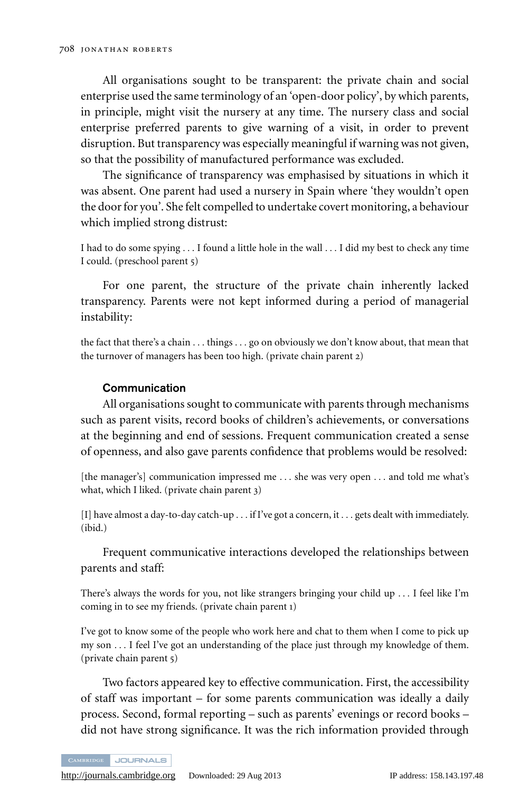All organisations sought to be transparent: the private chain and social enterprise used the same terminology of an 'open-door policy', by which parents, in principle, might visit the nursery at any time. The nursery class and social enterprise preferred parents to give warning of a visit, in order to prevent disruption. But transparency was especially meaningful if warning was not given, so that the possibility of manufactured performance was excluded.

The significance of transparency was emphasised by situations in which it was absent. One parent had used a nursery in Spain where 'they wouldn't open the door for you'. She felt compelled to undertake covert monitoring, a behaviour which implied strong distrust:

I had to do some spying *...* I found a little hole in the wall *...* I did my best to check any time I could. (preschool parent 5)

For one parent, the structure of the private chain inherently lacked transparency. Parents were not kept informed during a period of managerial instability:

the fact that there's a chain *...* things *...* go on obviously we don't know about, that mean that the turnover of managers has been too high. (private chain parent 2)

#### **Communication**

All organisations sought to communicate with parents through mechanisms such as parent visits, record books of children's achievements, or conversations at the beginning and end of sessions. Frequent communication created a sense of openness, and also gave parents confidence that problems would be resolved:

[the manager's] communication impressed me *...* she was very open *...* and told me what's what, which I liked. (private chain parent 3)

[I] have almost a day-to-day catch-up *...* if I've got a concern, it *...* gets dealt with immediately. (ibid.)

Frequent communicative interactions developed the relationships between parents and staff:

There's always the words for you, not like strangers bringing your child up *...* I feel like I'm coming in to see my friends. (private chain parent 1)

I've got to know some of the people who work here and chat to them when I come to pick up my son *...* I feel I've got an understanding of the place just through my knowledge of them. (private chain parent 5)

Two factors appeared key to effective communication. First, the accessibility of staff was important – for some parents communication was ideally a daily process. Second, formal reporting – such as parents' evenings or record books – did not have strong significance. It was the rich information provided through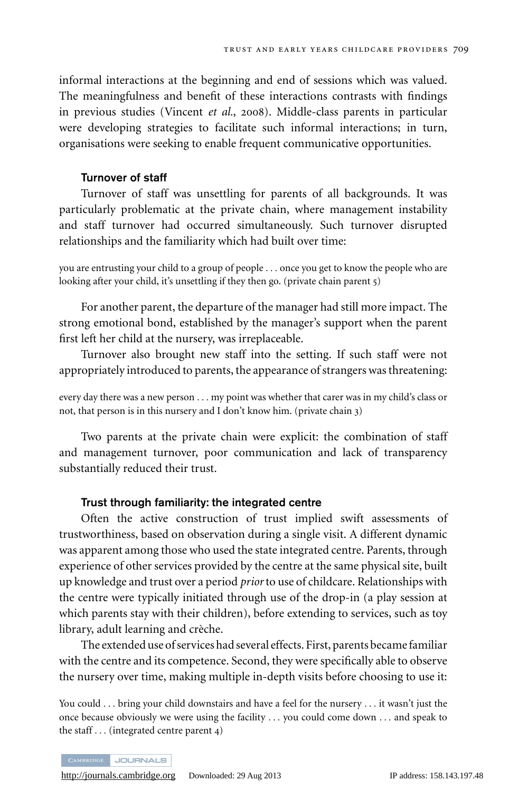informal interactions at the beginning and end of sessions which was valued. The meaningfulness and benefit of these interactions contrasts with findings in previous studies (Vincent *et al.*, 2008). Middle-class parents in particular were developing strategies to facilitate such informal interactions; in turn, organisations were seeking to enable frequent communicative opportunities.

#### **Turnover of staff**

Turnover of staff was unsettling for parents of all backgrounds. It was particularly problematic at the private chain, where management instability and staff turnover had occurred simultaneously. Such turnover disrupted relationships and the familiarity which had built over time:

you are entrusting your child to a group of people *...* once you get to know the people who are looking after your child, it's unsettling if they then go. (private chain parent 5)

For another parent, the departure of the manager had still more impact. The strong emotional bond, established by the manager's support when the parent first left her child at the nursery, was irreplaceable.

Turnover also brought new staff into the setting. If such staff were not appropriately introduced to parents, the appearance of strangers was threatening:

every day there was a new person *...* my point was whether that carer was in my child's class or not, that person is in this nursery and I don't know him. (private chain 3)

Two parents at the private chain were explicit: the combination of staff and management turnover, poor communication and lack of transparency substantially reduced their trust.

#### **Trust through familiarity: the integrated centre**

Often the active construction of trust implied swift assessments of trustworthiness, based on observation during a single visit. A different dynamic was apparent among those who used the state integrated centre. Parents, through experience of other services provided by the centre at the same physical site, built up knowledge and trust over a period *prior* to use of childcare. Relationships with the centre were typically initiated through use of the drop-in (a play session at which parents stay with their children), before extending to services, such as toy library, adult learning and crèche.

The extended use of services had several effects. First, parents became familiar with the centre and its competence. Second, they were specifically able to observe the nursery over time, making multiple in-depth visits before choosing to use it:

You could *...* bring your child downstairs and have a feel for the nursery *...* it wasn't just the once because obviously we were using the facility *...* you could come down *...* and speak to the staff *...* (integrated centre parent 4)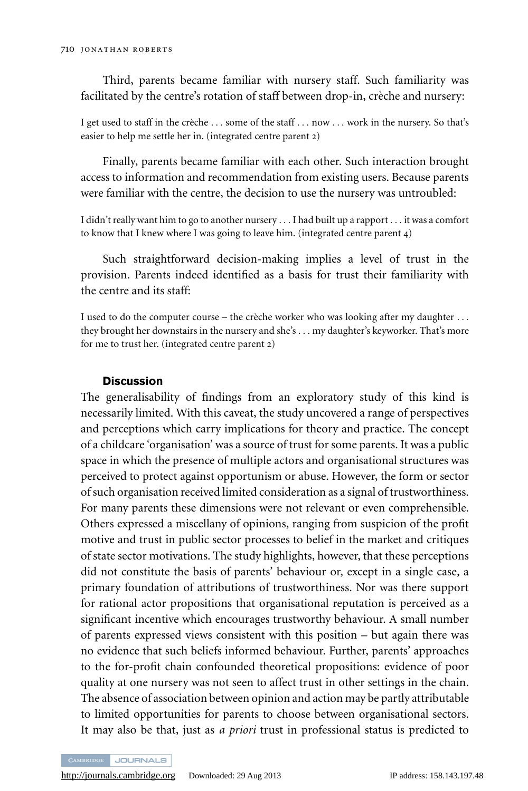Third, parents became familiar with nursery staff. Such familiarity was facilitated by the centre's rotation of staff between drop-in, crèche and nursery:

I get used to staff in the crèche  $\ldots$  some of the staff  $\ldots$  now  $\ldots$  work in the nursery. So that's easier to help me settle her in. (integrated centre parent 2)

Finally, parents became familiar with each other. Such interaction brought access to information and recommendation from existing users. Because parents were familiar with the centre, the decision to use the nursery was untroubled:

I didn't really want him to go to another nursery *...* I had built up a rapport *...* it was a comfort to know that I knew where I was going to leave him. (integrated centre parent 4)

Such straightforward decision-making implies a level of trust in the provision. Parents indeed identified as a basis for trust their familiarity with the centre and its staff:

I used to do the computer course – the crèche worker who was looking after my daughter ... they brought her downstairs in the nursery and she's *...* my daughter's keyworker. That's more for me to trust her. (integrated centre parent 2)

#### **Discussion**

The generalisability of findings from an exploratory study of this kind is necessarily limited. With this caveat, the study uncovered a range of perspectives and perceptions which carry implications for theory and practice. The concept of a childcare 'organisation' was a source of trust for some parents. It was a public space in which the presence of multiple actors and organisational structures was perceived to protect against opportunism or abuse. However, the form or sector of such organisation received limited consideration as a signal of trustworthiness. For many parents these dimensions were not relevant or even comprehensible. Others expressed a miscellany of opinions, ranging from suspicion of the profit motive and trust in public sector processes to belief in the market and critiques of state sector motivations. The study highlights, however, that these perceptions did not constitute the basis of parents' behaviour or, except in a single case, a primary foundation of attributions of trustworthiness. Nor was there support for rational actor propositions that organisational reputation is perceived as a significant incentive which encourages trustworthy behaviour. A small number of parents expressed views consistent with this position – but again there was no evidence that such beliefs informed behaviour. Further, parents' approaches to the for-profit chain confounded theoretical propositions: evidence of poor quality at one nursery was not seen to affect trust in other settings in the chain. The absence of association between opinion and action may be partly attributable to limited opportunities for parents to choose between organisational sectors. It may also be that, just as *a priori* trust in professional status is predicted to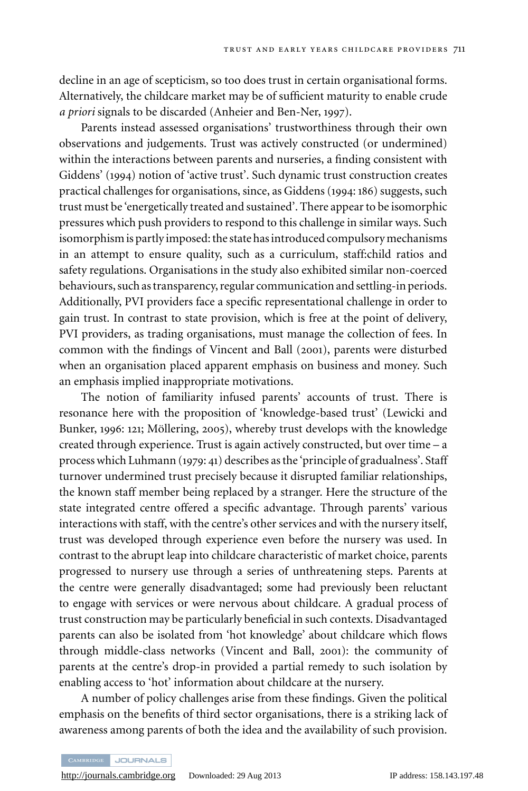decline in an age of scepticism, so too does trust in certain organisational forms. Alternatively, the childcare market may be of sufficient maturity to enable crude *a priori* signals to be discarded (Anheier and Ben-Ner, 1997).

Parents instead assessed organisations' trustworthiness through their own observations and judgements. Trust was actively constructed (or undermined) within the interactions between parents and nurseries, a finding consistent with Giddens' (1994) notion of 'active trust'. Such dynamic trust construction creates practical challenges for organisations, since, as Giddens (1994: 186) suggests, such trust must be 'energetically treated and sustained'. There appear to be isomorphic pressures which push providers to respond to this challenge in similar ways. Such isomorphism is partly imposed: the state has introduced compulsory mechanisms in an attempt to ensure quality, such as a curriculum, staff:child ratios and safety regulations. Organisations in the study also exhibited similar non-coerced behaviours, such as transparency, regular communication and settling-in periods. Additionally, PVI providers face a specific representational challenge in order to gain trust. In contrast to state provision, which is free at the point of delivery, PVI providers, as trading organisations, must manage the collection of fees. In common with the findings of Vincent and Ball (2001), parents were disturbed when an organisation placed apparent emphasis on business and money. Such an emphasis implied inappropriate motivations.

The notion of familiarity infused parents' accounts of trust. There is resonance here with the proposition of 'knowledge-based trust' (Lewicki and Bunker, 1996: 121; Möllering, 2005), whereby trust develops with the knowledge created through experience. Trust is again actively constructed, but over time – a process which Luhmann (1979: 41) describes as the 'principle of gradualness'. Staff turnover undermined trust precisely because it disrupted familiar relationships, the known staff member being replaced by a stranger. Here the structure of the state integrated centre offered a specific advantage. Through parents' various interactions with staff, with the centre's other services and with the nursery itself, trust was developed through experience even before the nursery was used. In contrast to the abrupt leap into childcare characteristic of market choice, parents progressed to nursery use through a series of unthreatening steps. Parents at the centre were generally disadvantaged; some had previously been reluctant to engage with services or were nervous about childcare. A gradual process of trust construction may be particularly beneficial in such contexts. Disadvantaged parents can also be isolated from 'hot knowledge' about childcare which flows through middle-class networks (Vincent and Ball, 2001): the community of parents at the centre's drop-in provided a partial remedy to such isolation by enabling access to 'hot' information about childcare at the nursery.

A number of policy challenges arise from these findings. Given the political emphasis on the benefits of third sector organisations, there is a striking lack of awareness among parents of both the idea and the availability of such provision.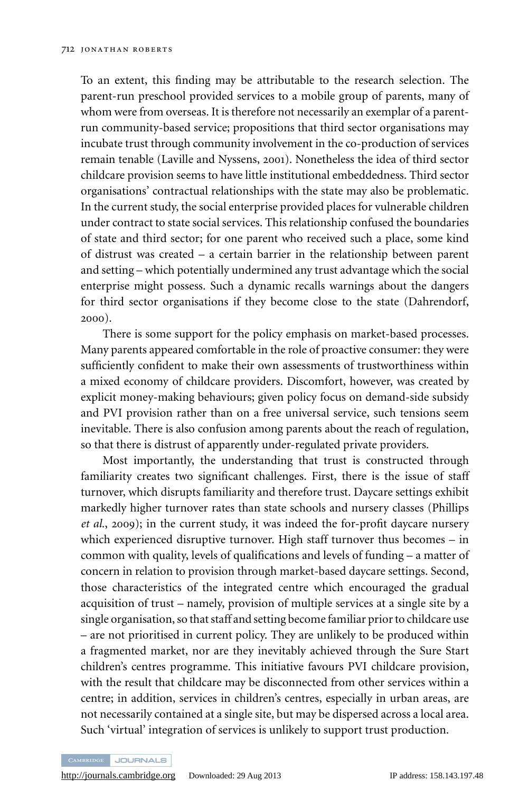To an extent, this finding may be attributable to the research selection. The parent-run preschool provided services to a mobile group of parents, many of whom were from overseas. It is therefore not necessarily an exemplar of a parentrun community-based service; propositions that third sector organisations may incubate trust through community involvement in the co-production of services remain tenable (Laville and Nyssens, 2001). Nonetheless the idea of third sector childcare provision seems to have little institutional embeddedness. Third sector organisations' contractual relationships with the state may also be problematic. In the current study, the social enterprise provided places for vulnerable children under contract to state social services. This relationship confused the boundaries of state and third sector; for one parent who received such a place, some kind of distrust was created – a certain barrier in the relationship between parent and setting – which potentially undermined any trust advantage which the social enterprise might possess. Such a dynamic recalls warnings about the dangers for third sector organisations if they become close to the state (Dahrendorf, 2000).

There is some support for the policy emphasis on market-based processes. Many parents appeared comfortable in the role of proactive consumer: they were sufficiently confident to make their own assessments of trustworthiness within a mixed economy of childcare providers. Discomfort, however, was created by explicit money-making behaviours; given policy focus on demand-side subsidy and PVI provision rather than on a free universal service, such tensions seem inevitable. There is also confusion among parents about the reach of regulation, so that there is distrust of apparently under-regulated private providers.

Most importantly, the understanding that trust is constructed through familiarity creates two significant challenges. First, there is the issue of staff turnover, which disrupts familiarity and therefore trust. Daycare settings exhibit markedly higher turnover rates than state schools and nursery classes (Phillips *et al*., 2009); in the current study, it was indeed the for-profit daycare nursery which experienced disruptive turnover. High staff turnover thus becomes – in common with quality, levels of qualifications and levels of funding – a matter of concern in relation to provision through market-based daycare settings. Second, those characteristics of the integrated centre which encouraged the gradual acquisition of trust – namely, provision of multiple services at a single site by a single organisation, so that staff and setting become familiar prior to childcare use – are not prioritised in current policy. They are unlikely to be produced within a fragmented market, nor are they inevitably achieved through the Sure Start children's centres programme. This initiative favours PVI childcare provision, with the result that childcare may be disconnected from other services within a centre; in addition, services in children's centres, especially in urban areas, are not necessarily contained at a single site, but may be dispersed across a local area. Such 'virtual' integration of services is unlikely to support trust production.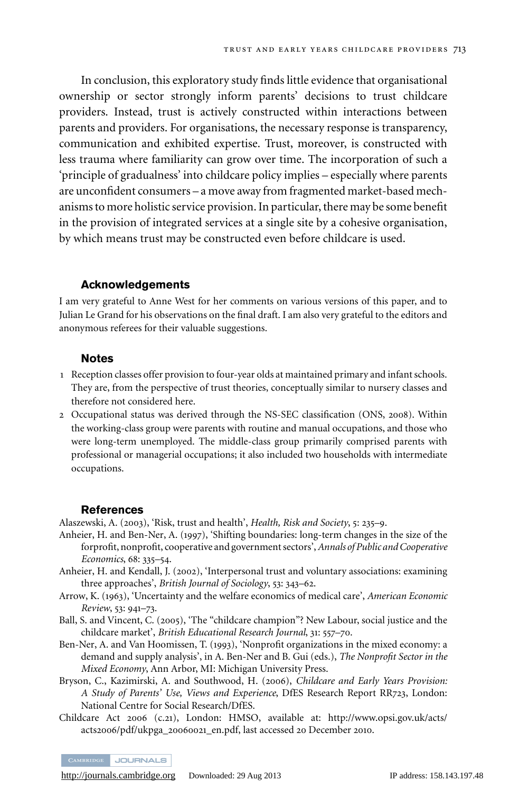In conclusion, this exploratory study finds little evidence that organisational ownership or sector strongly inform parents' decisions to trust childcare providers. Instead, trust is actively constructed within interactions between parents and providers. For organisations, the necessary response is transparency, communication and exhibited expertise. Trust, moreover, is constructed with less trauma where familiarity can grow over time. The incorporation of such a 'principle of gradualness' into childcare policy implies – especially where parents are unconfident consumers – a move away from fragmented market-based mechanisms to more holistic service provision. In particular, there may be some benefit in the provision of integrated services at a single site by a cohesive organisation, by which means trust may be constructed even before childcare is used.

#### **Acknowledgements**

I am very grateful to Anne West for her comments on various versions of this paper, and to Julian Le Grand for his observations on the final draft. I am also very grateful to the editors and anonymous referees for their valuable suggestions.

#### **Notes**

- 1 Reception classes offer provision to four-year olds at maintained primary and infant schools. They are, from the perspective of trust theories, conceptually similar to nursery classes and therefore not considered here.
- 2 Occupational status was derived through the NS-SEC classification (ONS, 2008). Within the working-class group were parents with routine and manual occupations, and those who were long-term unemployed. The middle-class group primarily comprised parents with professional or managerial occupations; it also included two households with intermediate occupations.

#### **References**

Alaszewski, A. (2003), 'Risk, trust and health', *Health, Risk and Society*, 5: 235–9.

- Anheier, H. and Ben-Ner, A. (1997), 'Shifting boundaries: long-term changes in the size of the forprofit, nonprofit, cooperative and government sectors',*Annals of Public and Cooperative Economics*, 68: 335–54.
- Anheier, H. and Kendall, J. (2002), 'Interpersonal trust and voluntary associations: examining three approaches', *British Journal of Sociology*, 53: 343–62.
- Arrow, K. (1963), 'Uncertainty and the welfare economics of medical care', *American Economic Review*, 53: 941–73.
- Ball, S. and Vincent, C. (2005), 'The "childcare champion"? New Labour, social justice and the childcare market', *British Educational Research Journal*, 31: 557–70.
- Ben-Ner, A. and Van Hoomissen, T. (1993), 'Nonprofit organizations in the mixed economy: a demand and supply analysis', in A. Ben-Ner and B. Gui (eds.), *The Nonprofit Sector in the Mixed Economy*, Ann Arbor, MI: Michigan University Press.
- Bryson, C., Kazimirski, A. and Southwood, H. (2006), *Childcare and Early Years Provision: A Study of Parents' Use, Views and Experience*, DfES Research Report RR723, London: National Centre for Social Research/DfES.
- Childcare Act 2006 (c.21), London: HMSO, available at: http://www.opsi.gov.uk/acts/ acts2006/pdf/ukpga\_20060021\_en.pdf, last accessed 20 December 2010.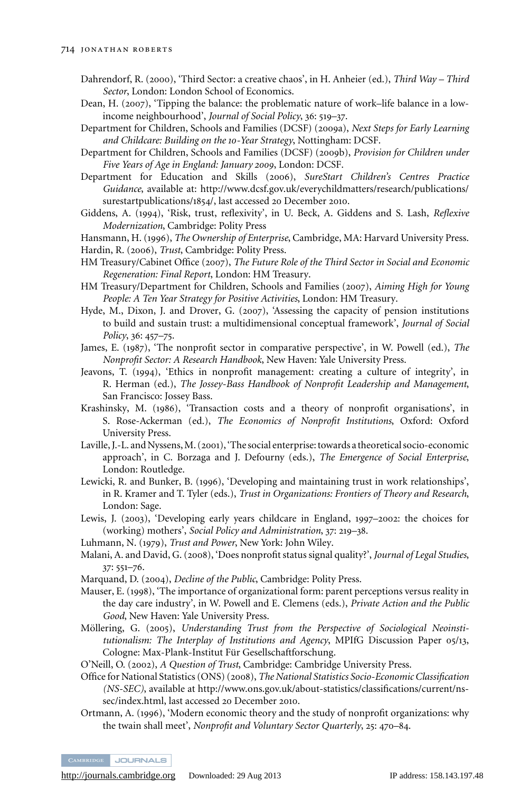- Dahrendorf, R. (2000), 'Third Sector: a creative chaos', in H. Anheier (ed.), *Third Way Third Sector*, London: London School of Economics.
- Dean, H. (2007), 'Tipping the balance: the problematic nature of work–life balance in a lowincome neighbourhood', *Journal of Social Policy*, 36: 519–37.
- Department for Children, Schools and Families (DCSF) (2009a), *Next Steps for Early Learning and Childcare: Building on the 10-Year Strategy*, Nottingham: DCSF.
- Department for Children, Schools and Families (DCSF) (2009b), *Provision for Children under Five Years of Age in England: January 2009*, London: DCSF.
- Department for Education and Skills (2006), *SureStart Children's Centres Practice Guidance*, available at: http://www.dcsf.gov.uk/everychildmatters/research/publications/ surestartpublications/1854/, last accessed 20 December 2010.
- Giddens, A. (1994), 'Risk, trust, reflexivity', in U. Beck, A. Giddens and S. Lash, *Reflexive Modernization*, Cambridge: Polity Press

Hansmann, H. (1996), *The Ownership of Enterprise*, Cambridge, MA: Harvard University Press. Hardin, R. (2006), *Trust*, Cambridge: Polity Press.

- HM Treasury/Cabinet Office (2007), *The Future Role of the Third Sector in Social and Economic Regeneration: Final Report*, London: HM Treasury.
- HM Treasury/Department for Children, Schools and Families (2007), *Aiming High for Young People: A Ten Year Strategy for Positive Activities*, London: HM Treasury.
- Hyde, M., Dixon, J. and Drover, G. (2007), 'Assessing the capacity of pension institutions to build and sustain trust: a multidimensional conceptual framework', *Journal of Social Policy*, 36: 457–75.
- James, E. (1987), 'The nonprofit sector in comparative perspective', in W. Powell (ed.), *The Nonprofit Sector: A Research Handbook*, New Haven: Yale University Press.
- Jeavons, T. (1994), 'Ethics in nonprofit management: creating a culture of integrity', in R. Herman (ed.), *The Jossey-Bass Handbook of Nonprofit Leadership and Management*, San Francisco: Jossey Bass.
- Krashinsky, M. (1986), 'Transaction costs and a theory of nonprofit organisations', in S. Rose-Ackerman (ed.), *The Economics of Nonprofit Institutions*, Oxford: Oxford University Press.
- Laville, J.-L. and Nyssens, M. (2001), 'The social enterprise: towards a theoretical socio-economic approach', in C. Borzaga and J. Defourny (eds.), *The Emergence of Social Enterprise*, London: Routledge.
- Lewicki, R. and Bunker, B. (1996), 'Developing and maintaining trust in work relationships', in R. Kramer and T. Tyler (eds.), *Trust in Organizations: Frontiers of Theory and Research*, London: Sage.
- Lewis, J. (2003), 'Developing early years childcare in England, 1997–2002: the choices for (working) mothers', *Social Policy and Administration*, 37: 219–38.
- Luhmann, N. (1979), *Trust and Power*, New York: John Wiley.
- Malani, A. and David, G. (2008), 'Does nonprofit status signal quality?', *Journal of Legal Studies*, 37: 551–76.
- Marquand, D. (2004), *Decline of the Public*, Cambridge: Polity Press.
- Mauser, E. (1998), 'The importance of organizational form: parent perceptions versus reality in the day care industry', in W. Powell and E. Clemens (eds.), *Private Action and the Public Good*, New Haven: Yale University Press.
- Möllering, G. (2005), Understanding Trust from the Perspective of Sociological Neoinsti*tutionalism: The Interplay of Institutions and Agency*, MPIfG Discussion Paper 05/13, Cologne: Max-Plank-Institut Für Gesellschaftforschung.
- O'Neill, O. (2002), *A Question of Trust*, Cambridge: Cambridge University Press.
- Office for National Statistics (ONS) (2008), *The National Statistics Socio-Economic Classification (NS-SEC)*, available at http://www.ons.gov.uk/about-statistics/classifications/current/nssec/index.html, last accessed 20 December 2010.
- Ortmann, A. (1996), 'Modern economic theory and the study of nonprofit organizations: why the twain shall meet', *Nonprofit and Voluntary Sector Quarterly*, 25: 470–84.